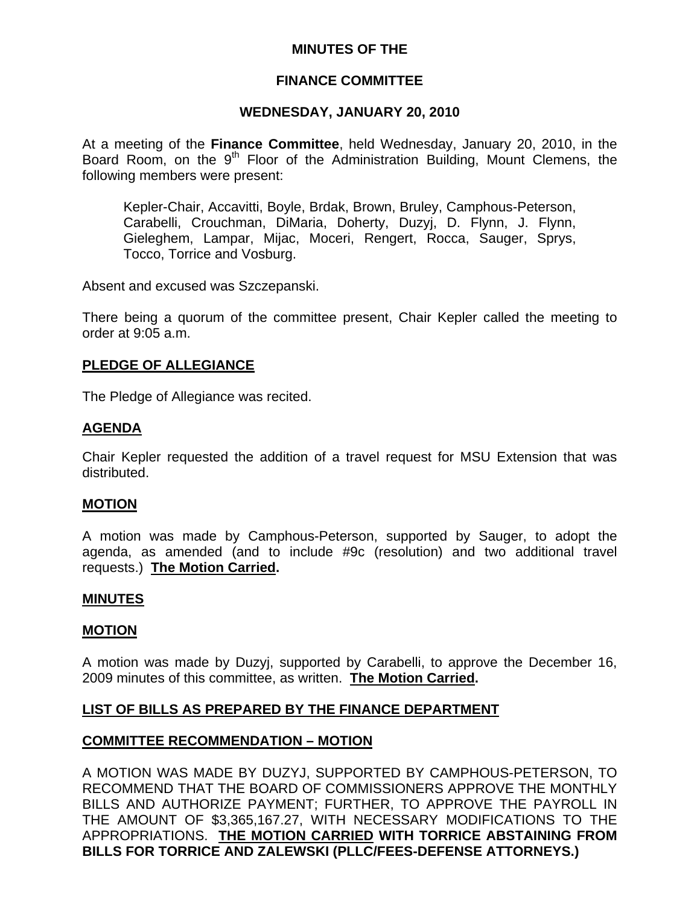# **MINUTES OF THE**

# **FINANCE COMMITTEE**

### **WEDNESDAY, JANUARY 20, 2010**

At a meeting of the **Finance Committee**, held Wednesday, January 20, 2010, in the Board Room, on the 9<sup>th</sup> Floor of the Administration Building, Mount Clemens, the following members were present:

Kepler-Chair, Accavitti, Boyle, Brdak, Brown, Bruley, Camphous-Peterson, Carabelli, Crouchman, DiMaria, Doherty, Duzyj, D. Flynn, J. Flynn, Gieleghem, Lampar, Mijac, Moceri, Rengert, Rocca, Sauger, Sprys, Tocco, Torrice and Vosburg.

Absent and excused was Szczepanski.

There being a quorum of the committee present, Chair Kepler called the meeting to order at 9:05 a.m.

### **PLEDGE OF ALLEGIANCE**

The Pledge of Allegiance was recited.

### **AGENDA**

Chair Kepler requested the addition of a travel request for MSU Extension that was distributed.

### **MOTION**

A motion was made by Camphous-Peterson, supported by Sauger, to adopt the agenda, as amended (and to include #9c (resolution) and two additional travel requests.) **The Motion Carried.** 

### **MINUTES**

### **MOTION**

A motion was made by Duzyj, supported by Carabelli, to approve the December 16, 2009 minutes of this committee, as written. **The Motion Carried.** 

### **LIST OF BILLS AS PREPARED BY THE FINANCE DEPARTMENT**

### **COMMITTEE RECOMMENDATION – MOTION**

A MOTION WAS MADE BY DUZYJ, SUPPORTED BY CAMPHOUS-PETERSON, TO RECOMMEND THAT THE BOARD OF COMMISSIONERS APPROVE THE MONTHLY BILLS AND AUTHORIZE PAYMENT; FURTHER, TO APPROVE THE PAYROLL IN THE AMOUNT OF \$3,365,167.27, WITH NECESSARY MODIFICATIONS TO THE APPROPRIATIONS. **THE MOTION CARRIED WITH TORRICE ABSTAINING FROM BILLS FOR TORRICE AND ZALEWSKI (PLLC/FEES-DEFENSE ATTORNEYS.)**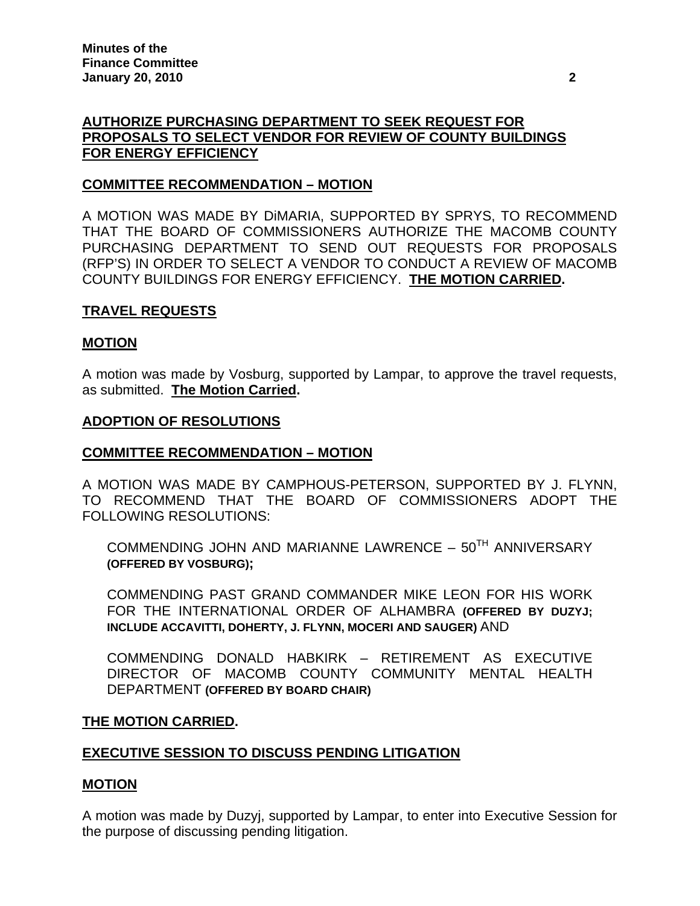# **AUTHORIZE PURCHASING DEPARTMENT TO SEEK REQUEST FOR PROPOSALS TO SELECT VENDOR FOR REVIEW OF COUNTY BUILDINGS FOR ENERGY EFFICIENCY**

# **COMMITTEE RECOMMENDATION – MOTION**

A MOTION WAS MADE BY DiMARIA, SUPPORTED BY SPRYS, TO RECOMMEND THAT THE BOARD OF COMMISSIONERS AUTHORIZE THE MACOMB COUNTY PURCHASING DEPARTMENT TO SEND OUT REQUESTS FOR PROPOSALS (RFP'S) IN ORDER TO SELECT A VENDOR TO CONDUCT A REVIEW OF MACOMB COUNTY BUILDINGS FOR ENERGY EFFICIENCY. **THE MOTION CARRIED.** 

# **TRAVEL REQUESTS**

### **MOTION**

A motion was made by Vosburg, supported by Lampar, to approve the travel requests, as submitted. **The Motion Carried.** 

#### **ADOPTION OF RESOLUTIONS**

### **COMMITTEE RECOMMENDATION – MOTION**

A MOTION WAS MADE BY CAMPHOUS-PETERSON, SUPPORTED BY J. FLYNN, TO RECOMMEND THAT THE BOARD OF COMMISSIONERS ADOPT THE FOLLOWING RESOLUTIONS:

COMMENDING JOHN AND MARIANNE LAWRENCE  $-50$ <sup>TH</sup> ANNIVERSARY **(OFFERED BY VOSBURG);** 

COMMENDING PAST GRAND COMMANDER MIKE LEON FOR HIS WORK FOR THE INTERNATIONAL ORDER OF ALHAMBRA **(OFFERED BY DUZYJ; INCLUDE ACCAVITTI, DOHERTY, J. FLYNN, MOCERI AND SAUGER)** AND

COMMENDING DONALD HABKIRK – RETIREMENT AS EXECUTIVE DIRECTOR OF MACOMB COUNTY COMMUNITY MENTAL HEALTH DEPARTMENT **(OFFERED BY BOARD CHAIR)**

#### **THE MOTION CARRIED.**

### **EXECUTIVE SESSION TO DISCUSS PENDING LITIGATION**

#### **MOTION**

A motion was made by Duzyj, supported by Lampar, to enter into Executive Session for the purpose of discussing pending litigation.